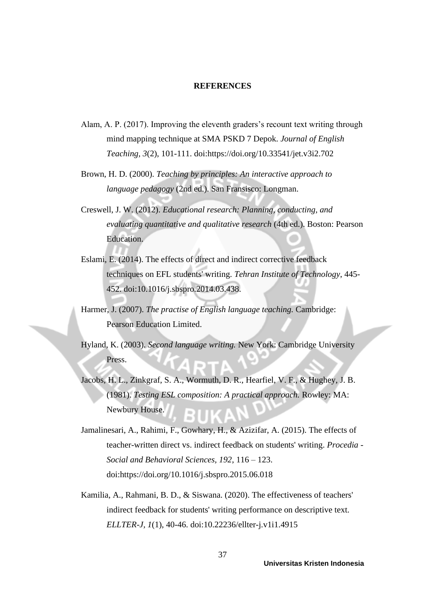## **REFERENCES**

- Alam, A. P. (2017). Improving the eleventh graders's recount text writing through mind mapping technique at SMA PSKD 7 Depok. *Journal of English Teaching, 3*(2), 101-111. doi:https://doi.org/10.33541/jet.v3i2.702
- Brown, H. D. (2000). *Teaching by principles: An interactive approach to language pedagogy* (2nd ed.). San Fransisco: Longman.
- Creswell, J. W. (2012). *Educational research: Planning, conducting, and evaluating quantitative and qualitative research* (4th ed.). Boston: Pearson Education.
- Eslami, E. (2014). The effects of direct and indirect corrective feedback techniques on EFL students' writing. *Tehran Institute of Technology*, 445- 452. doi:10.1016/j.sbspro.2014.03.438.
- Harmer, J. (2007). *The practise of English language teaching.* Cambridge: Pearson Education Limited.
- Hyland, K. (2003). *Second language writing.* New York: Cambridge University Press.
- Jacobs, H. L., Zinkgraf, S. A., Wormuth, D. R., Hearfiel, V. F., & Hughey, J. B. (1981). *Testing ESL composition: A practical approach.* Rowley: MA: Newbury House.
- Jamalinesari, A., Rahimi, F., Gowhary, H., & Azizifar, A. (2015). The effects of teacher-written direct vs. indirect feedback on students' writing. *Procedia - Social and Behavioral Sciences, 192*, 116 – 123. doi:https://doi.org/10.1016/j.sbspro.2015.06.018
- Kamilia, A., Rahmani, B. D., & Siswana. (2020). The effectiveness of teachers' indirect feedback for students' writing performance on descriptive text. *ELLTER-J, 1*(1), 40-46. doi:10.22236/ellter-j.v1i1.4915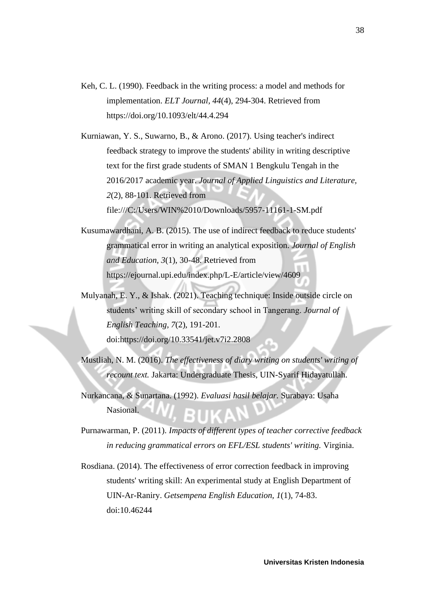- Keh, C. L. (1990). Feedback in the writing process: a model and methods for implementation. *ELT Journal, 44*(4), 294-304. Retrieved from https://doi.org/10.1093/elt/44.4.294
- Kurniawan, Y. S., Suwarno, B., & Arono. (2017). Using teacher's indirect feedback strategy to improve the students' ability in writing descriptive text for the first grade students of SMAN 1 Bengkulu Tengah in the 2016/2017 academic year. *Journal of Applied Linguistics and Literature, 2*(2), 88-101. Retrieved from file:///C:/Users/WIN%2010/Downloads/5957-11161-1-SM.pdf
- Kusumawardhani, A. B. (2015). The use of indirect feedback to reduce students' grammatical error in writing an analytical exposition. *Journal of English and Education, 3*(1), 30-48. Retrieved from https://ejournal.upi.edu/index.php/L-E/article/view/4609
- Mulyanah, E. Y., & Ishak. (2021). Teaching technique: Inside outside circle on students' writing skill of secondary school in Tangerang. *Journal of English Teaching, 7*(2), 191-201. doi:https://doi.org/10.33541/jet.v7i2.2808
- Mustliah, N. M. (2016). *The effectiveness of diary writing on students' writing of recount text.* Jakarta: Undergraduate Thesis, UIN-Syarif Hidayatullah.
- Nurkancana, & Sunartana. (1992). *Evaluasi hasil belajar.* Surabaya: Usaha Nasional.
- Purnawarman, P. (2011). *Impacts of different types of teacher corrective feedback in reducing grammatical errors on EFL/ESL students' writing.* Virginia.
- Rosdiana. (2014). The effectiveness of error correction feedback in improving students' writing skill: An experimental study at English Department of UIN-Ar-Raniry. *Getsempena English Education, 1*(1), 74-83. doi:10.46244